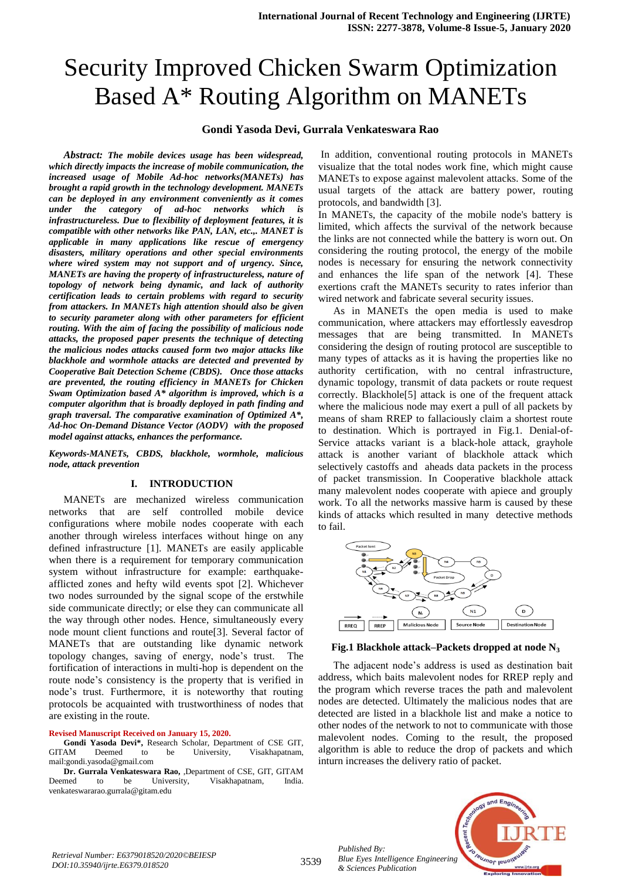# Security Improved Chicken Swarm Optimization Based A\* Routing Algorithm on MANETs

## **Gondi Yasoda Devi, Gurrala Venkateswara Rao**

*Abstract: The mobile devices usage has been widespread, which directly impacts the increase of mobile communication, the increased usage of Mobile Ad-hoc networks(MANETs) has brought a rapid growth in the technology development. MANETs can be deployed in any environment conveniently as it comes under the category of ad-hoc networks which is infrastructureless. Due to flexibility of deployment features, it is compatible with other networks like PAN, LAN, etc.,. MANET is applicable in many applications like rescue of emergency disasters, military operations and other special environments where wired system may not support and of urgency. Since, MANETs are having the property of infrastructureless, nature of topology of network being dynamic, and lack of authority certification leads to certain problems with regard to security from attackers. In MANETs high attention should also be given to security parameter along with other parameters for efficient routing. With the aim of facing the possibility of malicious node attacks, the proposed paper presents the technique of detecting the malicious nodes attacks caused form two major attacks like blackhole and wormhole attacks are detected and prevented by Cooperative Bait Detection Scheme (CBDS). Once those attacks are prevented, the routing efficiency in MANETs for Chicken Swam Optimization based A\* algorithm is improved, which is a computer algorithm that is broadly deployed in path finding and graph traversal. The comparative examination of Optimized A\*, Ad-hoc On-Demand Distance Vector (AODV) with the proposed model against attacks, enhances the performance.*

*Keywords-MANETs, CBDS, blackhole, wormhole, malicious node, attack prevention*

### **I. INTRODUCTION**

MANETs are mechanized wireless communication networks that are self controlled mobile device configurations where mobile nodes cooperate with each another through wireless interfaces without hinge on any defined infrastructure [1]. MANETs are easily applicable when there is a requirement for temporary communication system without infrastructure for example: earthquakeafflicted zones and hefty wild events spot [2]. Whichever two nodes surrounded by the signal scope of the erstwhile side communicate directly; or else they can communicate all the way through other nodes. Hence, simultaneously every node mount client functions and route[3]. Several factor of MANETs that are outstanding like dynamic network topology changes, saving of energy, node's trust. The fortification of interactions in multi-hop is dependent on the route node's consistency is the property that is verified in node's trust. Furthermore, it is noteworthy that routing protocols be acquainted with trustworthiness of nodes that are existing in the route.

#### **Revised Manuscript Received on January 15, 2020.**

**Gondi Yasoda Devi\*,** Research Scholar, Department of CSE GIT, GITAM Deemed to be University, Visakhapatnam, mai[l:gondi.yasoda@gmail.com](mailto:gondi.yasoda@gmail.com)

**Dr. Gurrala Venkateswara Rao,** ,Department of CSE, GIT, GITAM Deemed to be University, Visakhapatnam, India. venkateswararao.gurrala@gitam.edu

In addition, conventional routing protocols in MANETs visualize that the total nodes work fine, which might cause MANETs to expose against malevolent attacks. Some of the usual targets of the attack are battery power, routing protocols, and bandwidth [3].

In MANETs, the capacity of the mobile node's battery is limited, which affects the survival of the network because the links are not connected while the battery is worn out. On considering the routing protocol, the energy of the mobile nodes is necessary for ensuring the network connectivity and enhances the life span of the network [4]. These exertions craft the MANETs security to rates inferior than wired network and fabricate several security issues.

As in MANETs the open media is used to make communication, where attackers may effortlessly eavesdrop messages that are being transmitted. In MANETs considering the design of routing protocol are susceptible to many types of attacks as it is having the properties like no authority certification, with no central infrastructure, dynamic topology, transmit of data packets or route request correctly. Blackhole[5] attack is one of the frequent attack where the malicious node may exert a pull of all packets by means of sham RREP to fallaciously claim a shortest route to destination. Which is portrayed in Fig.1. Denial-of-Service attacks variant is a black-hole attack, grayhole attack is another variant of blackhole attack which selectively castoffs and aheads data packets in the process of packet transmission. In Cooperative blackhole attack many malevolent nodes cooperate with apiece and grouply work. To all the networks massive harm is caused by these kinds of attacks which resulted in many detective methods to fail.



**Fig.1 Blackhole attack–Packets dropped at node N<sup>3</sup>**

The adjacent node's address is used as destination bait address, which baits malevolent nodes for RREP reply and the program which reverse traces the path and malevolent nodes are detected. Ultimately the malicious nodes that are detected are listed in a blackhole list and make a notice to other nodes of the network to not to communicate with those malevolent nodes. Coming to the result, the proposed algorithm is able to reduce the drop of packets and which inturn increases the delivery ratio of packet.

*Published By: Blue Eyes Intelligence Engineering & Sciences Publication* 

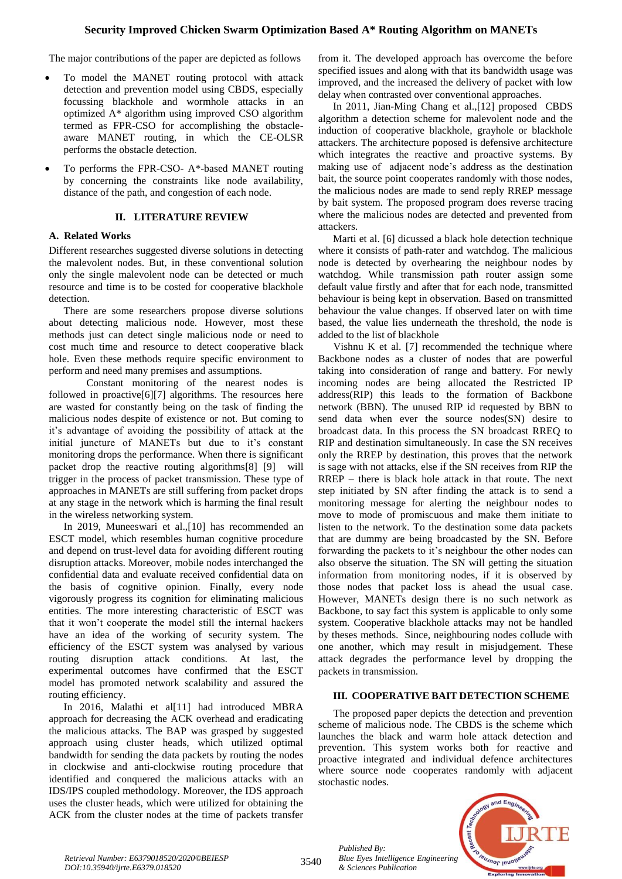The major contributions of the paper are depicted as follows

- To model the MANET routing protocol with attack detection and prevention model using CBDS, especially focussing blackhole and wormhole attacks in an optimized A\* algorithm using improved CSO algorithm termed as FPR-CSO for accomplishing the obstacleaware MANET routing, in which the CE-OLSR performs the obstacle detection.
- To performs the FPR-CSO- A\*-based MANET routing by concerning the constraints like node availability, distance of the path, and congestion of each node.

### **II. LITERATURE REVIEW**

## **A. Related Works**

Different researches suggested diverse solutions in detecting the malevolent nodes. But, in these conventional solution only the single malevolent node can be detected or much resource and time is to be costed for cooperative blackhole detection.

There are some researchers propose diverse solutions about detecting malicious node. However, most these methods just can detect single malicious node or need to cost much time and resource to detect cooperative black hole. Even these methods require specific environment to perform and need many premises and assumptions.

Constant monitoring of the nearest nodes is followed in proactive[6][7] algorithms. The resources here are wasted for constantly being on the task of finding the malicious nodes despite of existence or not. But coming to it's advantage of avoiding the possibility of attack at the initial juncture of MANETs but due to it's constant monitoring drops the performance. When there is significant packet drop the reactive routing algorithms[8] [9] will trigger in the process of packet transmission. These type of approaches in MANETs are still suffering from packet drops at any stage in the network which is harming the final result in the wireless networking system.

In 2019, Muneeswari et al.,[10] has recommended an ESCT model, which resembles human cognitive procedure and depend on trust-level data for avoiding different routing disruption attacks. Moreover, mobile nodes interchanged the confidential data and evaluate received confidential data on the basis of cognitive opinion. Finally, every node vigorously progress its cognition for eliminating malicious entities. The more interesting characteristic of ESCT was that it won't cooperate the model still the internal hackers have an idea of the working of security system. The efficiency of the ESCT system was analysed by various routing disruption attack conditions. At last, the experimental outcomes have confirmed that the ESCT model has promoted network scalability and assured the routing efficiency.

In 2016, Malathi et al[11] had introduced MBRA approach for decreasing the ACK overhead and eradicating the malicious attacks. The BAP was grasped by suggested approach using cluster heads, which utilized optimal bandwidth for sending the data packets by routing the nodes in clockwise and anti-clockwise routing procedure that identified and conquered the malicious attacks with an IDS/IPS coupled methodology. Moreover, the IDS approach uses the cluster heads, which were utilized for obtaining the ACK from the cluster nodes at the time of packets transfer from it. The developed approach has overcome the before specified issues and along with that its bandwidth usage was improved, and the increased the delivery of packet with low delay when contrasted over conventional approaches.

In 2011, Jian-Ming Chang et al.,[12] proposed CBDS algorithm a detection scheme for malevolent node and the induction of cooperative blackhole, grayhole or blackhole attackers. The architecture poposed is defensive architecture which integrates the reactive and proactive systems. By making use of adjacent node's address as the destination bait, the source point cooperates randomly with those nodes, the malicious nodes are made to send reply RREP message by bait system. The proposed program does reverse tracing where the malicious nodes are detected and prevented from attackers.

Marti et al. [6] dicussed a black hole detection technique where it consists of path-rater and watchdog. The malicious node is detected by overhearing the neighbour nodes by watchdog. While transmission path router assign some default value firstly and after that for each node, transmitted behaviour is being kept in observation. Based on transmitted behaviour the value changes. If observed later on with time based, the value lies underneath the threshold, the node is added to the list of blackhole

Vishnu K et al. [7] recommended the technique where Backbone nodes as a cluster of nodes that are powerful taking into consideration of range and battery. For newly incoming nodes are being allocated the Restricted IP address(RIP) this leads to the formation of Backbone network (BBN). The unused RIP id requested by BBN to send data when ever the source nodes(SN) desire to broadcast data. In this process the SN broadcast RREQ to RIP and destination simultaneously. In case the SN receives only the RREP by destination, this proves that the network is sage with not attacks, else if the SN receives from RIP the RREP – there is black hole attack in that route. The next step initiated by SN after finding the attack is to send a monitoring message for alerting the neighbour nodes to move to mode of promiscuous and make them initiate to listen to the network. To the destination some data packets that are dummy are being broadcasted by the SN. Before forwarding the packets to it's neighbour the other nodes can also observe the situation. The SN will getting the situation information from monitoring nodes, if it is observed by those nodes that packet loss is ahead the usual case. However, MANETs design there is no such network as Backbone, to say fact this system is applicable to only some system. Cooperative blackhole attacks may not be handled by theses methods. Since, neighbouring nodes collude with one another, which may result in misjudgement. These attack degrades the performance level by dropping the packets in transmission.

#### **III. COOPERATIVE BAIT DETECTION SCHEME**

The proposed paper depicts the detection and prevention scheme of malicious node. The CBDS is the scheme which launches the black and warm hole attack detection and prevention. This system works both for reactive and proactive integrated and individual defence architectures where source node cooperates randomly with adjacent stochastic nodes.



*Published By:*

*& Sciences Publication*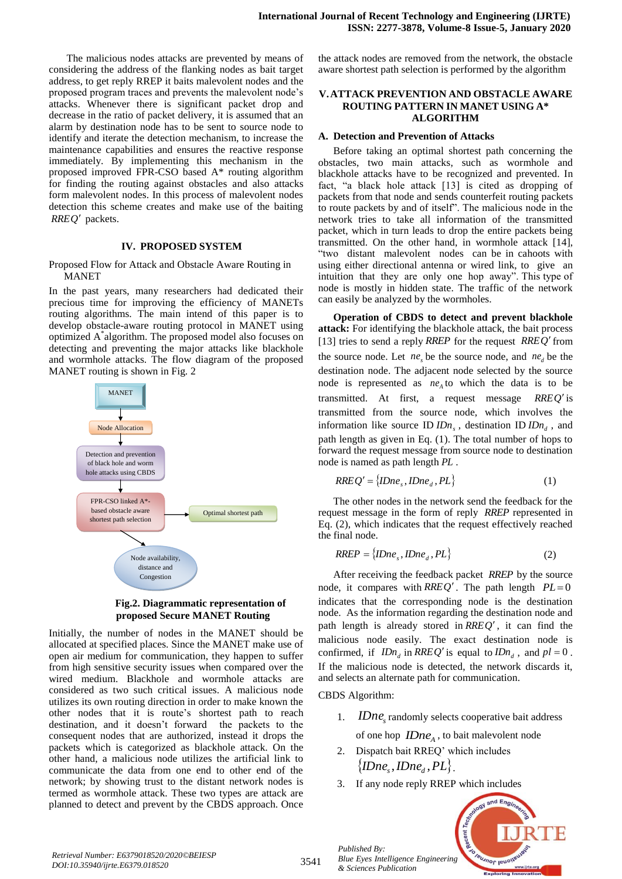The malicious nodes attacks are prevented by means of considering the address of the flanking nodes as bait target address, to get reply RREP it baits malevolent nodes and the proposed program traces and prevents the malevolent node's attacks. Whenever there is significant packet drop and decrease in the ratio of packet delivery, it is assumed that an alarm by destination node has to be sent to source node to identify and iterate the detection mechanism, to increase the maintenance capabilities and ensures the reactive response immediately. By implementing this mechanism in the proposed improved FPR-CSO based A\* routing algorithm for finding the routing against obstacles and also attacks form malevolent nodes. In this process of malevolent nodes detection this scheme creates and make use of the baiting *RREQ* packets.

### **IV. PROPOSED SYSTEM**

#### Proposed Flow for Attack and Obstacle Aware Routing in MANET

In the past years, many researchers had dedicated their precious time for improving the efficiency of MANETs routing algorithms. The main intend of this paper is to develop obstacle-aware routing protocol in MANET using optimized A\* algorithm. The proposed model also focuses on detecting and preventing the major attacks like blackhole and wormhole attacks. The flow diagram of the proposed MANET routing is shown in Fig. 2



**Fig.2. Diagrammatic representation of proposed Secure MANET Routing**

Initially, the number of nodes in the MANET should be allocated at specified places. Since the MANET make use of open air medium for communication, they happen to suffer from high sensitive security issues when compared over the wired medium. Blackhole and wormhole attacks are considered as two such critical issues. A malicious node utilizes its own routing direction in order to make known the other nodes that it is route's shortest path to reach destination, and it doesn't forward the packets to the consequent nodes that are authorized, instead it drops the packets which is categorized as blackhole attack. On the other hand, a malicious node utilizes the artificial link to communicate the data from one end to other end of the network; by showing trust to the distant network nodes is termed as wormhole attack. These two types are attack are planned to detect and prevent by the CBDS approach. Once

the attack nodes are removed from the network, the obstacle aware shortest path selection is performed by the algorithm

#### **V.ATTACK PREVENTION AND OBSTACLE AWARE ROUTING PATTERN IN MANET USING A\* ALGORITHM**

#### **A. Detection and Prevention of Attacks**

Before taking an optimal shortest path concerning the obstacles, two main attacks, such as wormhole and blackhole attacks have to be recognized and prevented. In fact, "a black hole attack [13] is cited as dropping of packets from that node and sends counterfeit routing packets to route packets by and of itself". The malicious node in the network tries to take all information of the transmitted packet, which in turn leads to drop the entire packets being transmitted. On the other hand, in wormhole attack [14], "two distant malevolent nodes can be in cahoots with using either directional antenna or wired link, to give an intuition that they are only one hop away". This type of node is mostly in hidden state. The traffic of the network can easily be analyzed by the wormholes.

**Operation of CBDS to detect and prevent blackhole attack:** For identifying the blackhole attack, the bait process [13] tries to send a reply *RREP* for the request *RREQ* from the source node. Let  $ne_s$  be the source node, and  $ne_d$  be the destination node. The adjacent node selected by the source node is represented as  $ne_A$  to which the data is to be transmitted. At first, a request message *RREQ* is transmitted from the source node, which involves the information like source ID  $IDn<sub>s</sub>$ , destination ID  $IDn<sub>d</sub>$ , and path length as given in Eq. (1). The total number of hops to forward the request message from source node to destination node is named as path length *PL* .

$$
RREQ' = \{IDne_s, IDne_d, PL\}
$$
 (1)

The other nodes in the network send the feedback for the request message in the form of reply *RREP* represented in Eq. (2), which indicates that the request effectively reached the final node.

$$
RREF = \{IDne_s, IDne_d, PL\}
$$
 (2)

After receiving the feedback packet *RREP* by the source node, it compares with  $RREQ'$ . The path length  $PL=0$ indicates that the corresponding node is the destination node. As the information regarding the destination node and path length is already stored in *RREQ* , it can find the malicious node easily. The exact destination node is confirmed, if  $IDn_d$  in  $RREQ'$  is equal to  $IDn_d$ , and  $pl = 0$ . If the malicious node is detected, the network discards it, and selects an alternate path for communication.

CBDS Algorithm:

*Published By:*

*& Sciences Publication* 

1. *IDne*<sub>s</sub> randomly selects cooperative bait address

of one hop  $IDne_A$ , to bait malevolent node

- 2. Dispatch bait RREQ' which includes  $\{$ *IDne*<sub>*d*</sub></sub>, $PL\}$ .
- 3. If any node reply RREP which includes



<sup>3541</sup> *Retrieval Number: E6379018520/2020©BEIESP DOI:10.35940/ijrte.E6379.018520*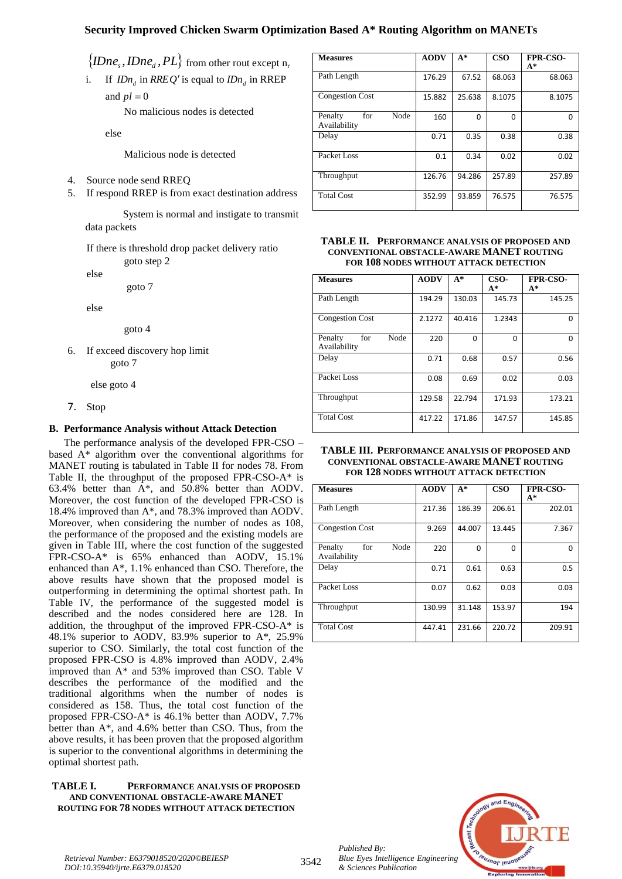# **Security Improved Chicken Swarm Optimization Based A\* Routing Algorithm on MANETs**

 $\{IDne_s, IDne_d, PL\}$  from other rout except n<sub>r</sub>

i. If  $IDn_d$  in  $RREQ'$  is equal to  $IDn_d$  in  $RREP$ and  $pl = 0$ 

No malicious nodes is detected

else

Malicious node is detected

- 4. Source node send RREQ
- 5. If respond RREP is from exact destination address

System is normal and instigate to transmit data packets

If there is threshold drop packet delivery ratio goto step 2

else

goto 7

else

goto 4

6. If exceed discovery hop limit goto 7

else goto 4

7. Stop

## **B. Performance Analysis without Attack Detection**

The performance analysis of the developed FPR-CSO – based A\* algorithm over the conventional algorithms for MANET routing is tabulated in Table II for nodes 78. From Table II, the throughput of the proposed FPR-CSO-A\* is 63.4% better than A\*, and 50.8% better than AODV. Moreover, the cost function of the developed FPR-CSO is 18.4% improved than A\*, and 78.3% improved than AODV. Moreover, when considering the number of nodes as 108, the performance of the proposed and the existing models are given in Table III, where the cost function of the suggested FPR-CSO-A\* is 65% enhanced than AODV, 15.1% enhanced than A\*, 1.1% enhanced than CSO. Therefore, the above results have shown that the proposed model is outperforming in determining the optimal shortest path. In Table IV, the performance of the suggested model is described and the nodes considered here are 128. In addition, the throughput of the improved FPR-CSO-A\* is 48.1% superior to AODV, 83.9% superior to A\*, 25.9% superior to CSO. Similarly, the total cost function of the proposed FPR-CSO is 4.8% improved than AODV, 2.4% improved than A\* and 53% improved than CSO. Table V describes the performance of the modified and the traditional algorithms when the number of nodes is considered as 158. Thus, the total cost function of the proposed FPR-CSO-A\* is 46.1% better than AODV, 7.7% better than A\*, and 4.6% better than CSO. Thus, from the above results, it has been proven that the proposed algorithm is superior to the conventional algorithms in determining the optimal shortest path.

#### **TABLE I. PERFORMANCE ANALYSIS OF PROPOSED AND CONVENTIONAL OBSTACLE-AWARE MANET ROUTING FOR 78 NODES WITHOUT ATTACK DETECTION**

| <b>Measures</b>                        | <b>AODV</b> | $A^*$        | CSO    | <b>FPR-CSO-</b><br>A* |
|----------------------------------------|-------------|--------------|--------|-----------------------|
| Path Length                            | 176.29      | 67.52        | 68.063 | 68.063                |
| <b>Congestion Cost</b>                 | 15.882      | 25.638       | 8.1075 | 8.1075                |
| Node<br>for<br>Penalty<br>Availability | 160         | <sup>0</sup> | 0      | ŋ                     |
| Delay                                  | 0.71        | 0.35         | 0.38   | 0.38                  |
| Packet Loss                            | 0.1         | 0.34         | 0.02   | 0.02                  |
| Throughput                             | 126.76      | 94.286       | 257.89 | 257.89                |
| <b>Total Cost</b>                      | 352.99      | 93.859       | 76.575 | 76.575                |

## **TABLE II. PERFORMANCE ANALYSIS OF PROPOSED AND CONVENTIONAL OBSTACLE-AWARE MANET ROUTING FOR 108 NODES WITHOUT ATTACK DETECTION**

| <b>Measures</b>                        | <b>AODV</b> | $A^*$  | CSO-   | <b>FPR-CSO-</b> |
|----------------------------------------|-------------|--------|--------|-----------------|
|                                        |             |        | $A^*$  | $A^*$           |
| Path Length                            | 194.29      | 130.03 | 145.73 | 145.25          |
| <b>Congestion Cost</b>                 | 2.1272      | 40.416 | 1.2343 | O               |
| Node<br>Penalty<br>for<br>Availability | 220         | O      | O      | O               |
| Delay                                  | 0.71        | 0.68   | 0.57   | 0.56            |
| Packet Loss                            | 0.08        | 0.69   | 0.02   | 0.03            |
| Throughput                             | 129.58      | 22.794 | 171.93 | 173.21          |
| <b>Total Cost</b>                      | 417.22      | 171.86 | 147.57 | 145.85          |

| <b>TABLE III. PERFORMANCE ANALYSIS OF PROPOSED AND</b> |
|--------------------------------------------------------|
| <b>CONVENTIONAL OBSTACLE-AWARE MANET ROUTING</b>       |
| <b>FOR 128 NODES WITHOUT ATTACK DETECTION</b>          |

| <b>Measures</b>                        | <b>AODV</b> | $A^*$  | <b>CSO</b> | <b>FPR-CSO-</b><br>A* |
|----------------------------------------|-------------|--------|------------|-----------------------|
| Path Length                            | 217.36      | 186.39 | 206.61     | 202.01                |
| <b>Congestion Cost</b>                 | 9.269       | 44.007 | 13.445     | 7.367                 |
| Node<br>for<br>Penalty<br>Availability | 220         | 0      | 0          | 0                     |
| Delay                                  | 0.71        | 0.61   | 0.63       | 0.5                   |
| Packet Loss                            | 0.07        | 0.62   | 0.03       | 0.03                  |
| Throughput                             | 130.99      | 31.148 | 153.97     | 194                   |
| <b>Total Cost</b>                      | 447.41      | 231.66 | 220.72     | 209.91                |



*Published By:*

*& Sciences Publication*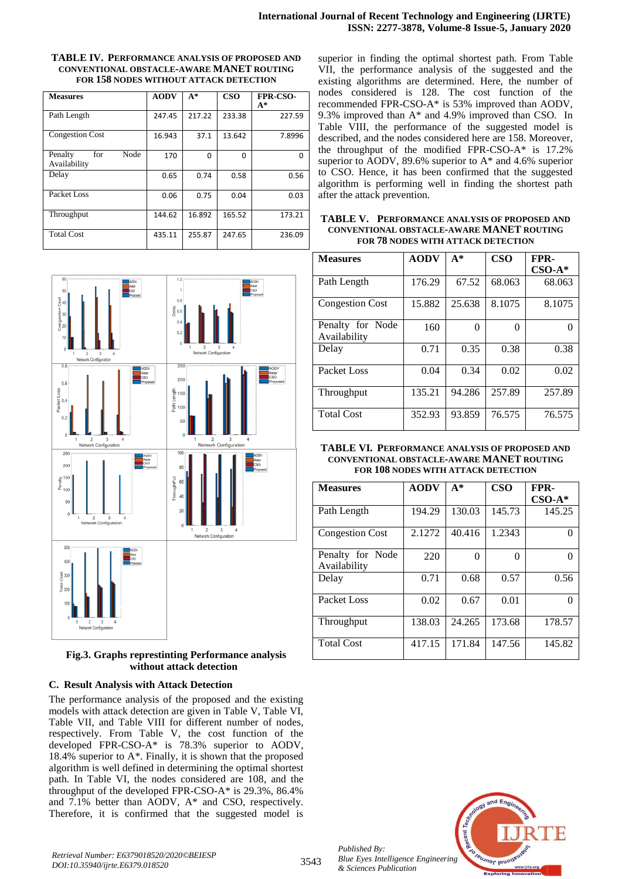#### **TABLE IV. PERFORMANCE ANALYSIS OF PROPOSED AND CONVENTIONAL OBSTACLE-AWARE MANET ROUTING FOR 158 NODES WITHOUT ATTACK DETECTION**

| <b>Measures</b>                        | <b>AODV</b> | $A^*$        | <b>CSO</b> | <b>FPR-CSO-</b><br>$A^*$ |
|----------------------------------------|-------------|--------------|------------|--------------------------|
| Path Length                            | 247.45      | 217.22       | 233.38     | 227.59                   |
| <b>Congestion Cost</b>                 | 16.943      | 37.1         | 13.642     | 7.8996                   |
| Node<br>Penalty<br>for<br>Availability | 170         | <sup>0</sup> | 0          | O                        |
| Delay                                  | 0.65        | 0.74         | 0.58       | 0.56                     |
| Packet Loss                            | 0.06        | 0.75         | 0.04       | 0.03                     |
| Throughput                             | 144.62      | 16.892       | 165.52     | 173.21                   |
| <b>Total Cost</b>                      | 435.11      | 255.87       | 247.65     | 236.09                   |



## **Fig.3. Graphs represtinting Performance analysis without attack detection**

## **C. Result Analysis with Attack Detection**

The performance analysis of the proposed and the existing models with attack detection are given in Table V, Table VI, Table VII, and Table VIII for different number of nodes, respectively. From Table V, the cost function of the developed FPR-CSO-A\* is 78.3% superior to AODV, 18.4% superior to A\*. Finally, it is shown that the proposed algorithm is well defined in determining the optimal shortest path. In Table VI, the nodes considered are 108, and the throughput of the developed FPR-CSO-A\* is 29.3%, 86.4% and 7.1% better than AODV, A\* and CSO, respectively. Therefore, it is confirmed that the suggested model is superior in finding the optimal shortest path. From Table VII, the performance analysis of the suggested and the existing algorithms are determined. Here, the number of nodes considered is 128. The cost function of the recommended FPR-CSO-A\* is 53% improved than AODV, 9.3% improved than A\* and 4.9% improved than CSO. In Table VIII, the performance of the suggested model is described, and the nodes considered here are 158. Moreover, the throughput of the modified FPR-CSO-A\* is 17.2% superior to AODV, 89.6% superior to A\* and 4.6% superior to CSO. Hence, it has been confirmed that the suggested algorithm is performing well in finding the shortest path after the attack prevention.

**TABLE V. PERFORMANCE ANALYSIS OF PROPOSED AND CONVENTIONAL OBSTACLE-AWARE MANET ROUTING FOR 78 NODES WITH ATTACK DETECTION**

| <b>Measures</b>                  | <b>AODV</b> | $A^*$  | <b>CSO</b> | FPR-     |
|----------------------------------|-------------|--------|------------|----------|
|                                  |             |        |            | $CSO-A*$ |
| Path Length                      | 176.29      | 67.52  | 68.063     | 68.063   |
| <b>Congestion Cost</b>           | 15.882      | 25.638 | 8.1075     | 8.1075   |
| Penalty for Node<br>Availability | 160         | 0      | 0          |          |
| Delay                            | 0.71        | 0.35   | 0.38       | 0.38     |
| Packet Loss                      | 0.04        | 0.34   | 0.02       | 0.02     |
| Throughput                       | 135.21      | 94.286 | 257.89     | 257.89   |
| <b>Total Cost</b>                | 352.93      | 93.859 | 76.575     | 76.575   |

| <b>TABLE VI. PERFORMANCE ANALYSIS OF PROPOSED AND</b> |
|-------------------------------------------------------|
| CONVENTIONAL OBSTACLE-AWARE MANET ROUTING             |
| FOR 108 NODES WITH ATTACK DETECTION                   |

| <b>Measures</b>                  | <b>AODV</b> | $A^*$  | <b>CSO</b>        | FPR-<br>$CSO-A*$ |
|----------------------------------|-------------|--------|-------------------|------------------|
| Path Length                      | 194.29      | 130.03 | 145.73            | 145.25           |
| <b>Congestion Cost</b>           | 2.1272      | 40.416 | 1.2343            | 0                |
| Penalty for Node<br>Availability | 220         | 0      | $\mathbf{\Omega}$ |                  |
| Delay                            | 0.71        | 0.68   | 0.57              | 0.56             |
| Packet Loss                      | 0.02        | 0.67   | 0.01              |                  |
| Throughput                       | 138.03      | 24.265 | 173.68            | 178.57           |
| <b>Total Cost</b>                | 417.15      | 171.84 | 147.56            | 145.82           |



*Published By:*

*& Sciences Publication*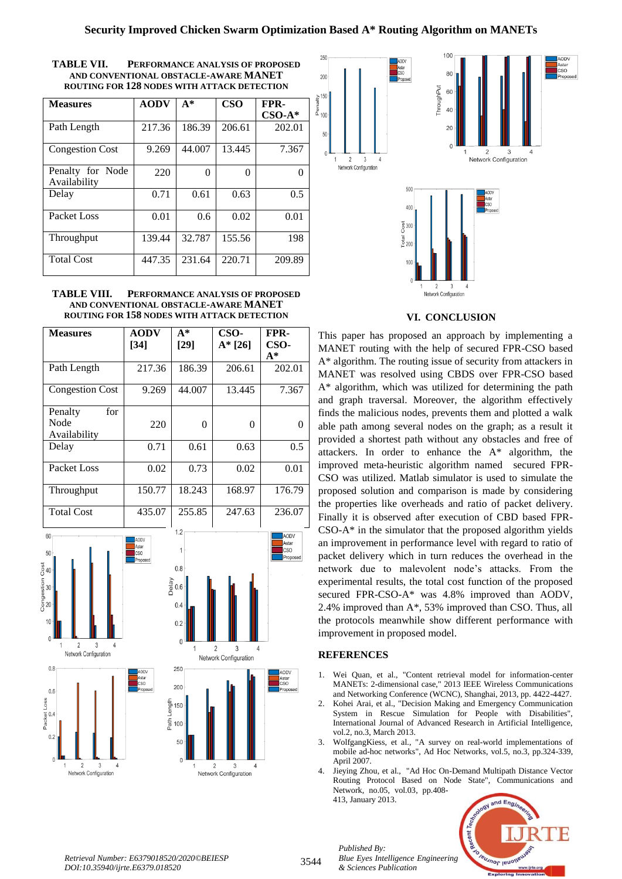| TABLE VII. | PERFORMANCE ANALYSIS OF PROPOSED            |
|------------|---------------------------------------------|
|            | AND CONVENTIONAL OBSTACLE-AWARE MANET       |
|            | ROUTING FOR 128 NODES WITH ATTACK DETECTION |

| <b>Measures</b>                  | <b>AODV</b> | $A^*$  | <b>CSO</b> | FPR-<br>$CSO-A*$ |
|----------------------------------|-------------|--------|------------|------------------|
| Path Length                      | 217.36      | 186.39 | 206.61     | 202.01           |
| <b>Congestion Cost</b>           | 9.269       | 44,007 | 13.445     | 7.367            |
| Penalty for Node<br>Availability | 220         | 0      | 0          | 0                |
| Delay                            | 0.71        | 0.61   | 0.63       | 0.5              |
| Packet Loss                      | 0.01        | 0.6    | 0.02       | 0.01             |
| Throughput                       | 139.44      | 32.787 | 155.56     | 198              |
| <b>Total Cost</b>                | 447.35      | 231.64 | 220.71     | 209.89           |

#### **TABLE VIII. PERFORMANCE ANALYSIS OF PROPOSED AND CONVENTIONAL OBSTACLE-AWARE MANET ROUTING FOR 158 NODES WITH ATTACK DETECTION**

| <b>Measures</b>                                                                                                                                                                                                                          | <b>AODV</b><br>$[34]$                                                                | $A^*$<br>$[29]$                                                                                                          | CSO-<br>$A* [26]$                                                                          | FPR-<br>CSO-<br>$A^*$                                                       |
|------------------------------------------------------------------------------------------------------------------------------------------------------------------------------------------------------------------------------------------|--------------------------------------------------------------------------------------|--------------------------------------------------------------------------------------------------------------------------|--------------------------------------------------------------------------------------------|-----------------------------------------------------------------------------|
| Path Length                                                                                                                                                                                                                              | 217.36                                                                               | 186.39                                                                                                                   | 206.61                                                                                     | 202.01                                                                      |
| <b>Congestion Cost</b>                                                                                                                                                                                                                   | 9.269                                                                                | 44.007                                                                                                                   | 13.445                                                                                     | 7.367                                                                       |
| Penalty<br>for<br>Node<br>Availability                                                                                                                                                                                                   | 220                                                                                  | $\mathbf{0}$                                                                                                             | $\mathbf{0}$                                                                               | $\overline{0}$                                                              |
| Delay                                                                                                                                                                                                                                    | 0.71                                                                                 | 0.61                                                                                                                     | 0.63                                                                                       | $\overline{0.5}$                                                            |
| Packet Loss                                                                                                                                                                                                                              | 0.02                                                                                 | 0.73                                                                                                                     | 0.02                                                                                       | 0.01                                                                        |
| Throughput                                                                                                                                                                                                                               | 150.77                                                                               | 18.243                                                                                                                   | 168.97                                                                                     | 176.79                                                                      |
| <b>Total Cost</b>                                                                                                                                                                                                                        | 435.07                                                                               | 255.85                                                                                                                   | 247.63                                                                                     | 236.07                                                                      |
| 60<br>50<br>Congestion Cost<br>22<br>29<br>29<br>10<br>$\mathbf{0}$<br>1<br>$\overline{2}$<br>3<br>$\overline{4}$<br>Network Configuration<br>0.8<br>0.6<br>Packet Loss<br>0.4<br>0.2<br>0<br>1<br>$\overline{2}$<br>3<br>$\overline{4}$ | AODV<br>Astar<br><b>CSO</b><br>Proposed<br>Delay<br>AODV<br>Astar<br>cso<br>Proposed | 1.2<br>1<br>0.8<br>0.6<br>0.4<br>0.2<br>0<br>1<br>250<br>200<br>ngth<br>Atl 150<br>Pati 100<br>50<br>$\overline{0}$<br>1 | $\overline{2}$<br>3<br>$\overline{4}$<br>Network Configuration<br>$\overline{2}$<br>3<br>4 | AODV<br>Astar<br><b>CSO</b><br>Proposed<br>AODV<br>Astar<br>CSO<br>Proposed |
| Network Configuration                                                                                                                                                                                                                    |                                                                                      |                                                                                                                          | Network Configuration                                                                      |                                                                             |



# **VI. CONCLUSION**

This paper has proposed an approach by implementing a MANET routing with the help of secured FPR-CSO based A\* algorithm. The routing issue of security from attackers in MANET was resolved using CBDS over FPR-CSO based A\* algorithm, which was utilized for determining the path and graph traversal. Moreover, the algorithm effectively finds the malicious nodes, prevents them and plotted a walk able path among several nodes on the graph; as a result it provided a shortest path without any obstacles and free of attackers. In order to enhance the A\* algorithm, the improved meta-heuristic algorithm named secured FPR-CSO was utilized. Matlab simulator is used to simulate the proposed solution and comparison is made by considering the properties like overheads and ratio of packet delivery. Finally it is observed after execution of CBD based FPR-CSO-A\* in the simulator that the proposed algorithm yields an improvement in performance level with regard to ratio of packet delivery which in turn reduces the overhead in the network due to malevolent node's attacks. From the experimental results, the total cost function of the proposed secured FPR-CSO-A\* was 4.8% improved than AODV, 2.4% improved than A\*, 53% improved than CSO. Thus, all the protocols meanwhile show different performance with improvement in proposed model.

# **REFERENCES**

- 1. Wei Quan, et al., "Content retrieval model for information-center MANETs: 2-dimensional case," 2013 IEEE Wireless Communications and Networking Conference (WCNC), Shanghai, 2013, pp. 4422-4427.
- 2. Kohei Arai, et al., "Decision Making and Emergency Communication System in Rescue Simulation for People with Disabilities", International Journal of Advanced Research in Artificial Intelligence, vol.2, no.3, March 2013.
- 3. WolfgangKiess, et al., "A survey on real-world implementations of mobile ad-hoc networks", Ad Hoc Networks, vol.5, no.3, pp.324-339, April 2007.
- 4. Jieying Zhou, et al., "Ad Hoc On-Demand Multipath Distance Vector Routing Protocol Based on Node State", Communications and Network, no.05, vol.03, pp.408- 413, January 2013.



*Published By: Blue Eyes Intelligence Engineering & Sciences Publication*